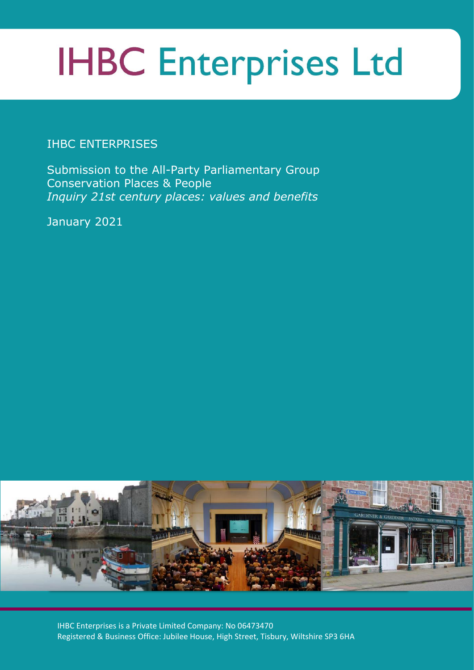# **IHBC Enterprises Ltd**

## IHBC ENTERPRISES

Submission to the All-Party Parliamentary Group Conservation Places & People *Inquiry 21st century places: values and benefits*

January 2021



IHBC Enterprises is a Private Limited Company: No 06473470 Registered & Business Office: Jubilee House, High Street, Tisbury, Wiltshire SP3 6HA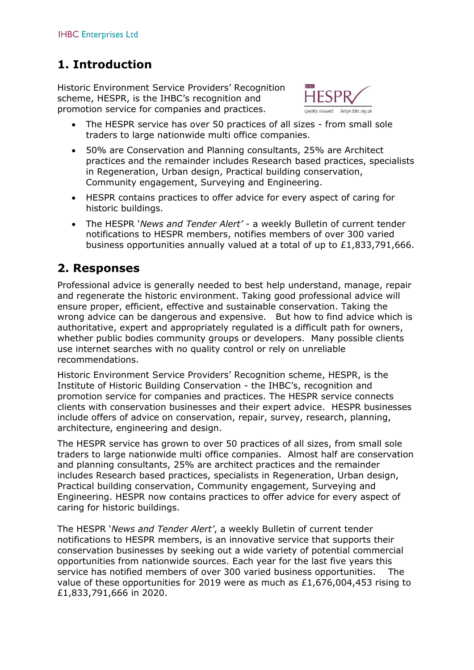# **1. Introduction**

Historic Environment Service Providers' Recognition scheme, HESPR, is the IHBC's recognition and promotion service for companies and practices.

- The HESPR service has over 50 practices of all sizes from small sole traders to large nationwide multi office companies.
- 50% are Conservation and Planning consultants, 25% are Architect practices and the remainder includes Research based practices, specialists in Regeneration, Urban design, Practical building conservation, Community engagement, Surveying and Engineering.
- HESPR contains practices to offer advice for every aspect of caring for historic buildings.
- The HESPR '*News and Tender Alert'* a weekly Bulletin of current tender notifications to HESPR members, notifies members of over 300 varied business opportunities annually valued at a total of up to £1,833,791,666.

### **2. Responses**

Professional advice is generally needed to best help understand, manage, repair and regenerate the historic environment. Taking good professional advice will ensure proper, efficient, effective and sustainable conservation. Taking the wrong advice can be dangerous and expensive. But how to find advice which is authoritative, expert and appropriately regulated is a difficult path for owners, whether public bodies community groups or developers. Many possible clients use internet searches with no quality control or rely on unreliable recommendations.

Historic Environment Service Providers' Recognition scheme, HESPR, is the Institute of Historic Building Conservation - the IHBC's, recognition and promotion service for companies and practices. The HESPR service connects clients with conservation businesses and their expert advice. HESPR businesses include offers of advice on conservation, repair, survey, research, planning, architecture, engineering and design.

The HESPR service has grown to over 50 practices of all sizes, from small sole traders to large nationwide multi office companies. Almost half are conservation and planning consultants, 25% are architect practices and the remainder includes Research based practices, specialists in Regeneration, Urban design, Practical building conservation, Community engagement, Surveying and Engineering. HESPR now contains practices to offer advice for every aspect of caring for historic buildings.

The HESPR '*News and Tender Alert'*, a weekly Bulletin of current tender notifications to HESPR members, is an innovative service that supports their conservation businesses by seeking out a wide variety of potential commercial opportunities from nationwide sources. Each year for the last five years this service has notified members of over 300 varied business opportunities. The value of these opportunities for 2019 were as much as £1,676,004,453 rising to £1,833,791,666 in 2020.